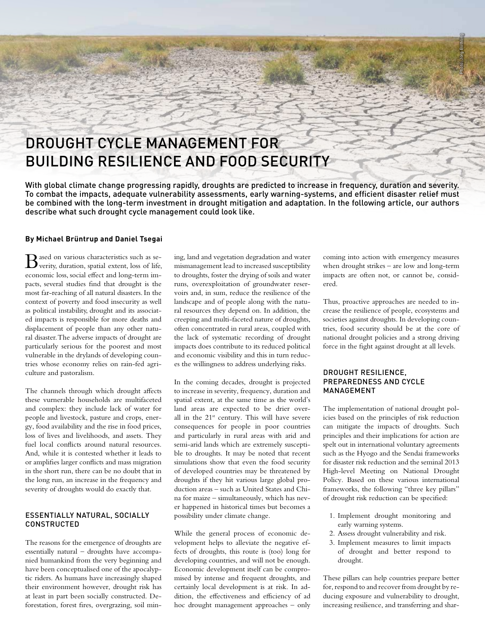# DROUGHT CYCLE MANAGEMENT FOR BUILDING RESILIENCE AND FOOD SECURITY

With global climate change progressing rapidly, droughts are predicted to increase in frequency, duration and severity. To combat the impacts, adequate vulnerability assessments, early warning-systems, and efficient disaster relief must be combined with the long-term investment in drought mitigation and adaptation. In the following article, our authors describe what such drought cycle management could look like.

### **By Michael Brüntrup and Daniel Tsegai**

 $\mathbf{B}$ ased on various characteristics such as se-<br>verity, duration, spatial extent, loss of life, economic loss, social effect and long-term impacts, several studies find that drought is the most far-reaching of all natural disasters. In the context of poverty and food insecurity as well as political instability, drought and its associated impacts is responsible for more deaths and displacement of people than any other natural disaster. The adverse impacts of drought are particularly serious for the poorest and most vulnerable in the drylands of developing countries whose economy relies on rain-fed agriculture and pastoralism.

The channels through which drought affects these vurnerable households are multifaceted and complex: they include lack of water for people and livestock, pasture and crops, energy, food availability and the rise in food prices, loss of lives and livelihoods, and assets. They fuel local conflicts around natural resources. And, while it is contested whether it leads to or amplifies larger conflicts and mass migration in the short run, there can be no doubt that in the long run, an increase in the frequency and severity of droughts would do exactly that.

# ESSENTIALLY NATURAL, SOCIALLY CONSTRUCTED

The reasons for the emergence of droughts are essentially natural – droughts have accompanied humankind from the very beginning and have been conceptualised one of the apocalyptic riders. As humans have increasingly shaped their environment however, drought risk has at least in part been socially constructed. Deforestation, forest fires, overgrazing, soil mining, land and vegetation degradation and water mismanagement lead to increased susceptibility to droughts, foster the drying of soils and water runs, overexploitation of groundwater reservoirs and, in sum, reduce the resilience of the landscape and of people along with the natural resources they depend on. In addition, the creeping and multi-faceted nature of droughts, often concentrated in rural areas, coupled with the lack of systematic recording of drought impacts does contribute to its reduced political and economic visibility and this in turn reduces the willingness to address underlying risks.

In the coming decades, drought is projected to increase in severity, frequency, duration and spatial extent, at the same time as the world's land areas are expected to be drier overall in the  $21<sup>st</sup>$  century. This will have severe consequences for people in poor countries and particularly in rural areas with arid and semi-arid lands which are extremely susceptible to droughts. It may be noted that recent simulations show that even the food security of developed countries may be threatened by droughts if they hit various large global production areas – such as United States and China for maize – simultaneously, which has never happened in historical times but becomes a possibility under climate change.

While the general process of economic development helps to alleviate the negative effects of droughts, this route is (too) long for developing countries, and will not be enough. Economic development itself can be compromised by intense and frequent droughts, and certainly local development is at risk. In addition, the effectiveness and efficiency of ad hoc drought management approaches – only

coming into action with emergency measures when drought strikes – are low and long-term impacts are often not, or cannot be, considered.

Photo: Jörg Böthling

Thus, proactive approaches are needed to increase the resilience of people, ecosystems and societies against droughts. In developing countries, food security should be at the core of national drought policies and a strong driving force in the fight against drought at all levels.

### DROUGHT RESILIENCE, PREPAREDNESS AND CYCLE MANAGEMENT

The implementation of national drought policies based on the principles of risk reduction can mitigate the impacts of droughts. Such principles and their implications for action are spelt out in international voluntary agreements such as the Hyogo and the Sendai frameworks for disaster risk reduction and the seminal 2013 High-level Meeting on National Drought Policy. Based on these various international frameworks, the following "three key pillars" of drought risk reduction can be specified:

- 1. Implement drought monitoring and early warning systems.
- 2. Assess drought vulnerability and risk.
- 3. Implement measures to limit impacts of drought and better respond to drought.

These pillars can help countries prepare better for, respond to and recover from drought by reducing exposure and vulnerability to drought, increasing resilience, and transferring and shar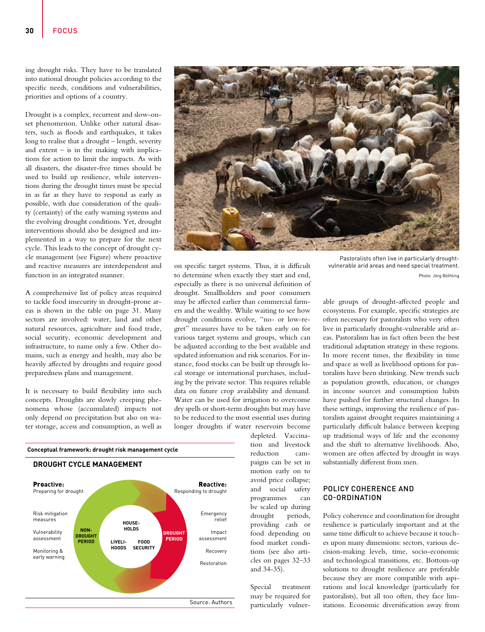ing drought risks. They have to be translated into national drought policies according to the specific needs, conditions and vulnerabilities, priorities and options of a country.

Drought is a complex, recurrent and slow-onset phenomenon. Unlike other natural disasters, such as floods and earthquakes, it takes long to realise that a drought – length, severity and extent  $-$  is in the making with implications for action to limit the impacts. As with all disasters, the disaster-free times should be used to build up resilience, while interventions during the drought times must be special in as far as they have to respond as early as possible, with due consideration of the quality (certainty) of the early warning systems and the evolving drought conditions. Yet, drought interventions should also be designed and implemented in a way to prepare for the next cycle. This leads to the concept of drought cycle management (see Figure) where proactive and reactive measures are interdependent and function in an integrated manner.

A comprehensive list of policy areas required to tackle food insecurity in drought-prone areas is shown in the table on page 31. Many sectors are involved: water, land and other natural resources, agriculture and food trade, social security, economic development and infrastructure, to name only a few. Other domains, such as energy and health, may also be heavily affected by droughts and require good preparedness plans and management.

It is necessary to build flexibility into such concepts. Droughts are slowly creeping phenomena whose (accumulated) impacts not only depend on precipitation but also on water storage, access and consumption, as well as



to determine when exactly they start and end, especially as there is no universal definition of drought. Smallholders and poor consumers may be affected earlier than commercial farmers and the wealthy. While waiting to see how drought conditions evolve, "no- or low-regret" measures have to be taken early on for various target systems and groups, which can be adjusted according to the best available and updated information and risk scenarios. For instance, food stocks can be built up through local storage or international purchases, including by the private sector. This requires reliable data on future crop availability and demand. Water can be used for irrigation to overcome dry spells or short-term droughts but may have to be reduced to the most essential uses during longer droughts if water reservoirs become



depleted. Vaccination and livestock reduction campaigns can be set in motion early on to avoid price collapse; and social safety programmes can be scaled up during drought periods, providing cash or food depending on food market conditions (see also articles on pages 32–33 and 34-35).

Special treatment may be required for particularly vulner-

Pastoralists often live in particularly droughtvulnerable arid areas and need special treatment. Photo: Jörg Böthling

able groups of drought-affected people and ecosystems. For example, specific strategies are often necessary for pastoralists who very often live in particularly drought-vulnerable arid areas. Pastoralism has in fact often been the best traditional adaptation strategy in these regions. In more recent times, the flexibility in time and space as well as livelihood options for pastoralists have been shrinking. New trends such as population growth, education, or changes in income sources and consumption habits have pushed for further structural changes. In these settings, improving the resilience of pastoralists against drought requires maintaining a particularly difficult balance between keeping up traditional ways of life and the economy and the shift to alternative livelihoods. Also, women are often affected by drought in ways substantially different from men.

# POLICY COHERENCE AND CO-ORDINATION

Policy coherence and coordination for drought resilience is particularly important and at the same time difficult to achieve because it touches upon many dimensions: sectors, various decision-making levels, time, socio-economic and technological transitions, etc. Bottom-up solutions to drought resilience are preferable because they are more compatible with aspirations and local knowledge (particularly for pastoralists), but all too often, they face limitations. Economic diversification away from